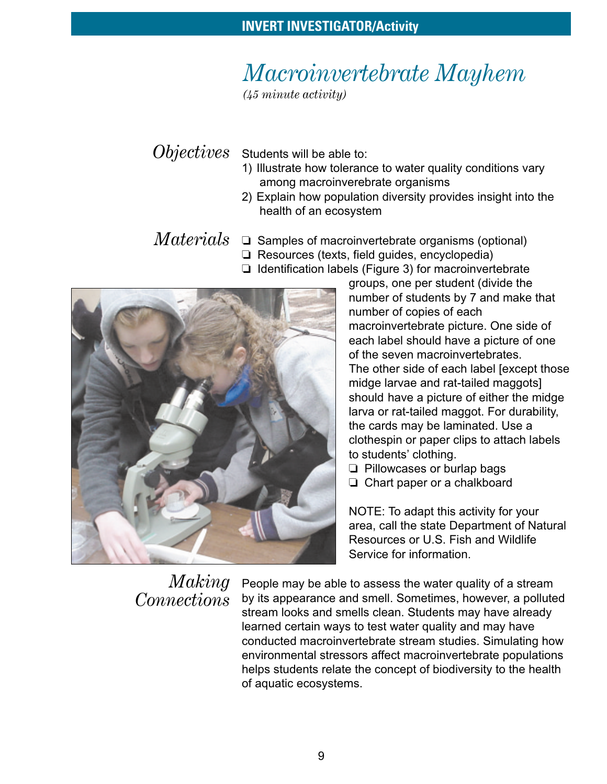# *Macroinvertebrate Mayhem*

*(45 minute activity)*

*Objectives* Students will be able to:

- 1) Illustrate how tolerance to water quality conditions vary among macroinverebrate organisms
- 2) Explain how population diversity provides insight into the health of an ecosystem
- $Materials~\,$   $\Box$  Samples of macroinvertebrate organisms (optional)
	- ❏ Resources (texts, field guides, encyclopedia)
	- ❏ Identification labels (Figure 3) for macroinvertebrate



groups, one per student (divide the number of students by 7 and make that number of copies of each macroinvertebrate picture. One side of each label should have a picture of one of the seven macroinvertebrates. The other side of each label [except those midge larvae and rat-tailed maggots] should have a picture of either the midge larva or rat-tailed maggot. For durability, the cards may be laminated. Use a clothespin or paper clips to attach labels to students' clothing.

- ❏ Pillowcases or burlap bags
- ❏ Chart paper or a chalkboard

NOTE: To adapt this activity for your area, call the state Department of Natural Resources or U.S. Fish and Wildlife Service for information.

## *Making Connections*

People may be able to assess the water quality of a stream by its appearance and smell. Sometimes, however, a polluted stream looks and smells clean. Students may have already learned certain ways to test water quality and may have conducted macroinvertebrate stream studies. Simulating how environmental stressors affect macroinvertebrate populations helps students relate the concept of biodiversity to the health of aquatic ecosystems.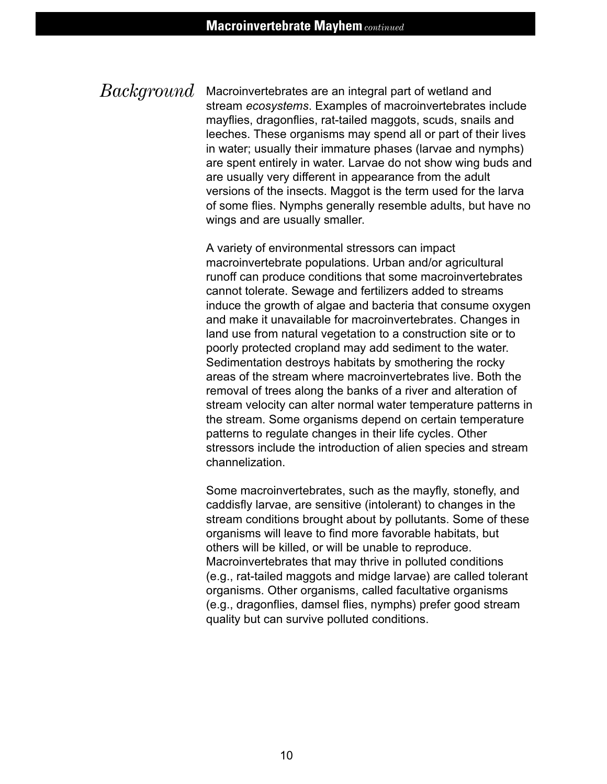Macroinvertebrates are an integral part of wetland and stream *ecosystems*. Examples of macroinvertebrates include mayflies, dragonflies, rat-tailed maggots, scuds, snails and leeches. These organisms may spend all or part of their lives in water; usually their immature phases (larvae and nymphs) are spent entirely in water. Larvae do not show wing buds and are usually very different in appearance from the adult versions of the insects. Maggot is the term used for the larva of some flies. Nymphs generally resemble adults, but have no wings and are usually smaller. *Background*

> A variety of environmental stressors can impact macroinvertebrate populations. Urban and/or agricultural runoff can produce conditions that some macroinvertebrates cannot tolerate. Sewage and fertilizers added to streams induce the growth of algae and bacteria that consume oxygen and make it unavailable for macroinvertebrates. Changes in land use from natural vegetation to a construction site or to poorly protected cropland may add sediment to the water. Sedimentation destroys habitats by smothering the rocky areas of the stream where macroinvertebrates live. Both the removal of trees along the banks of a river and alteration of stream velocity can alter normal water temperature patterns in the stream. Some organisms depend on certain temperature patterns to regulate changes in their life cycles. Other stressors include the introduction of alien species and stream channelization.

> Some macroinvertebrates, such as the mayfly, stonefly, and caddisfly larvae, are sensitive (intolerant) to changes in the stream conditions brought about by pollutants. Some of these organisms will leave to find more favorable habitats, but others will be killed, or will be unable to reproduce. Macroinvertebrates that may thrive in polluted conditions (e.g., rat-tailed maggots and midge larvae) are called tolerant organisms. Other organisms, called facultative organisms (e.g., dragonflies, damsel flies, nymphs) prefer good stream quality but can survive polluted conditions.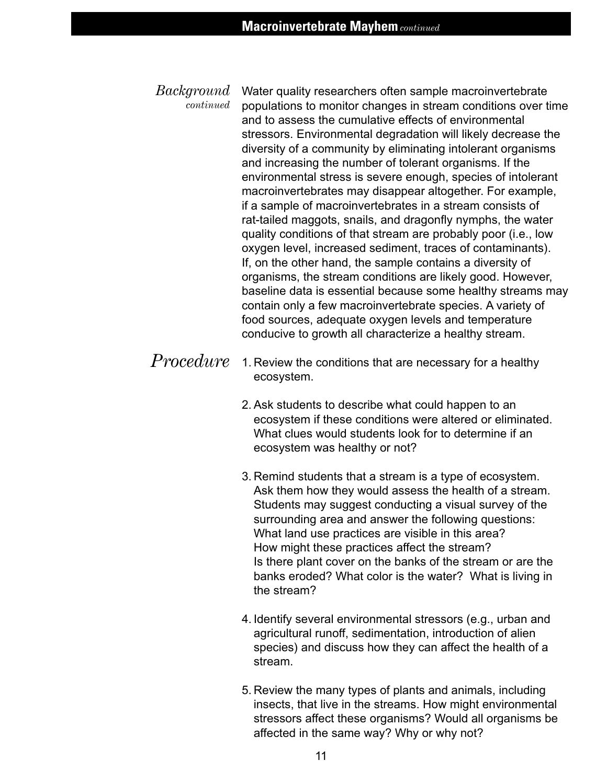- Water quality researchers often sample macroinvertebrate populations to monitor changes in stream conditions over time and to assess the cumulative effects of environmental stressors. Environmental degradation will likely decrease the diversity of a community by eliminating intolerant organisms and increasing the number of tolerant organisms. If the environmental stress is severe enough, species of intolerant macroinvertebrates may disappear altogether. For example, if a sample of macroinvertebrates in a stream consists of rat-tailed maggots, snails, and dragonfly nymphs, the water quality conditions of that stream are probably poor (i.e., low oxygen level, increased sediment, traces of contaminants). If, on the other hand, the sample contains a diversity of organisms, the stream conditions are likely good. However, baseline data is essential because some healthy streams may contain only a few macroinvertebrate species. A variety of food sources, adequate oxygen levels and temperature conducive to growth all characterize a healthy stream. *Background continued*
- 1. Review the conditions that are necessary for a healthy ecosystem. *Procedure*
	- 2. Ask students to describe what could happen to an ecosystem if these conditions were altered or eliminated. What clues would students look for to determine if an ecosystem was healthy or not?
	- 3. Remind students that a stream is a type of ecosystem. Ask them how they would assess the health of a stream. Students may suggest conducting a visual survey of the surrounding area and answer the following questions: What land use practices are visible in this area? How might these practices affect the stream? Is there plant cover on the banks of the stream or are the banks eroded? What color is the water? What is living in the stream?
	- 4. Identify several environmental stressors (e.g., urban and agricultural runoff, sedimentation, introduction of alien species) and discuss how they can affect the health of a stream.
	- 5. Review the many types of plants and animals, including insects, that live in the streams. How might environmental stressors affect these organisms? Would all organisms be affected in the same way? Why or why not?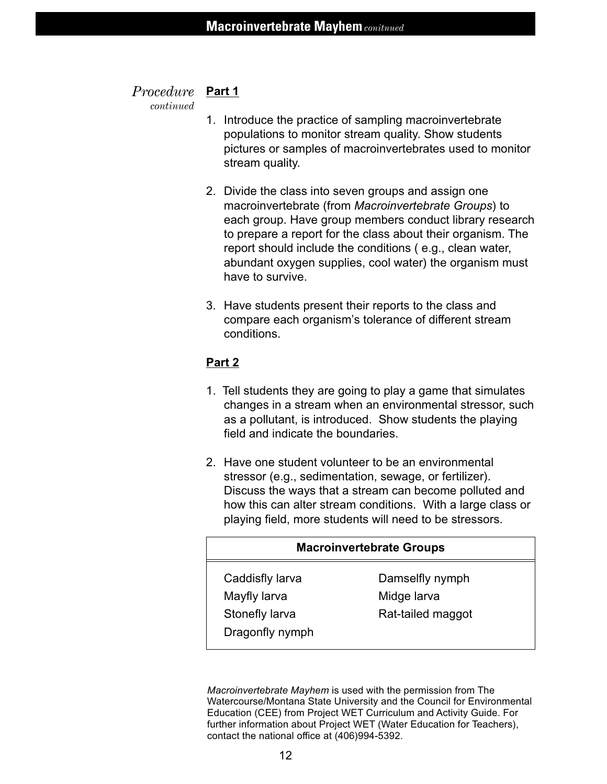#### *Procedure* Part 1

*continued*

- 1. Introduce the practice of sampling macroinvertebrate populations to monitor stream quality. Show students pictures or samples of macroinvertebrates used to monitor stream quality.
- 2. Divide the class into seven groups and assign one macroinvertebrate (from *Macroinvertebrate Groups*) to each group. Have group members conduct library research to prepare a report for the class about their organism. The report should include the conditions ( e.g., clean water, abundant oxygen supplies, cool water) the organism must have to survive.
- 3. Have students present their reports to the class and compare each organism's tolerance of different stream conditions.

#### **Part 2**

- 1. Tell students they are going to play a game that simulates changes in a stream when an environmental stressor, such as a pollutant, is introduced. Show students the playing field and indicate the boundaries.
- 2. Have one student volunteer to be an environmental stressor (e.g., sedimentation, sewage, or fertilizer). Discuss the ways that a stream can become polluted and how this can alter stream conditions. With a large class or playing field, more students will need to be stressors.

| <b>Macroinvertebrate Groups</b>   |                                |  |  |  |
|-----------------------------------|--------------------------------|--|--|--|
| Caddisfly larva<br>Mayfly larva   | Damselfly nymph<br>Midge larva |  |  |  |
| Stonefly larva<br>Dragonfly nymph | Rat-tailed maggot              |  |  |  |

*Macroinvertebrate Mayhem* is used with the permission from The Watercourse/Montana State University and the Council for Environmental Education (CEE) from Project WET Curriculum and Activity Guide. For further information about Project WET (Water Education for Teachers), contact the national office at (406)994-5392.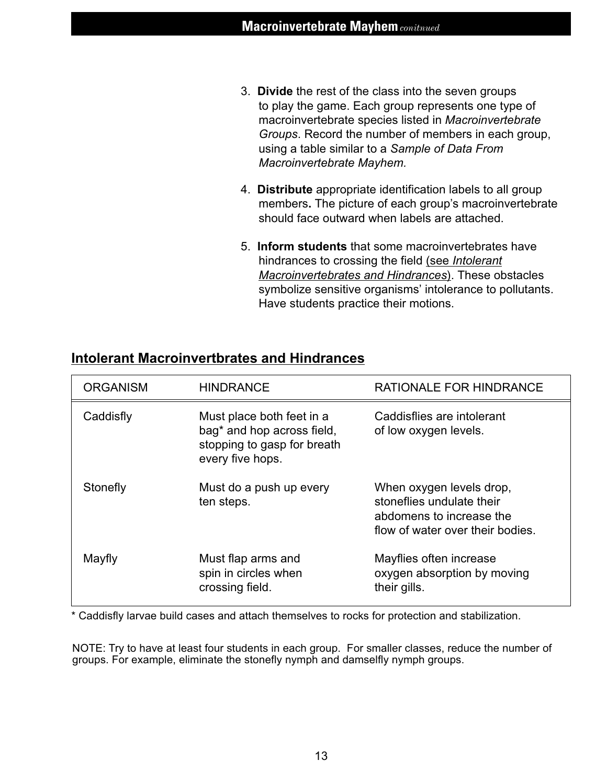- 3. **Divide** the rest of the class into the seven groups to play the game. Each group represents one type of macroinvertebrate species listed in *Macroinvertebrate Groups*. Record the number of members in each group, using a table similar to a *Sample of Data From Macroinvertebrate Mayhem.*
- 4. **Distribute** appropriate identification labels to all group members**.** The picture of each group's macroinvertebrate should face outward when labels are attached.
- 5. **Inform students** that some macroinvertebrates have hindrances to crossing the field (see *Intolerant Macroinvertebrates and Hindrances*). These obstacles symbolize sensitive organisms' intolerance to pollutants. Have students practice their motions.

| <b>ORGANISM</b> | <b>HINDRANCE</b>                                                                                                       | <b>RATIONALE FOR HINDRANCE</b>                                                                                        |  |
|-----------------|------------------------------------------------------------------------------------------------------------------------|-----------------------------------------------------------------------------------------------------------------------|--|
| Caddisfly       | Must place both feet in a<br>bag <sup>*</sup> and hop across field,<br>stopping to gasp for breath<br>every five hops. | Caddisflies are intolerant<br>of low oxygen levels.                                                                   |  |
| Stonefly        | Must do a push up every<br>ten steps.                                                                                  | When oxygen levels drop,<br>stoneflies undulate their<br>abdomens to increase the<br>flow of water over their bodies. |  |
| Mayfly          | Must flap arms and<br>spin in circles when<br>crossing field.                                                          | Mayflies often increase<br>oxygen absorption by moving<br>their gills.                                                |  |

#### **Intolerant Macroinvertbrates and Hindrances**

\* Caddisfly larvae build cases and attach themselves to rocks for protection and stabilization.

NOTE: Try to have at least four students in each group. For smaller classes, reduce the number of groups. For example, eliminate the stonefly nymph and damselfly nymph groups.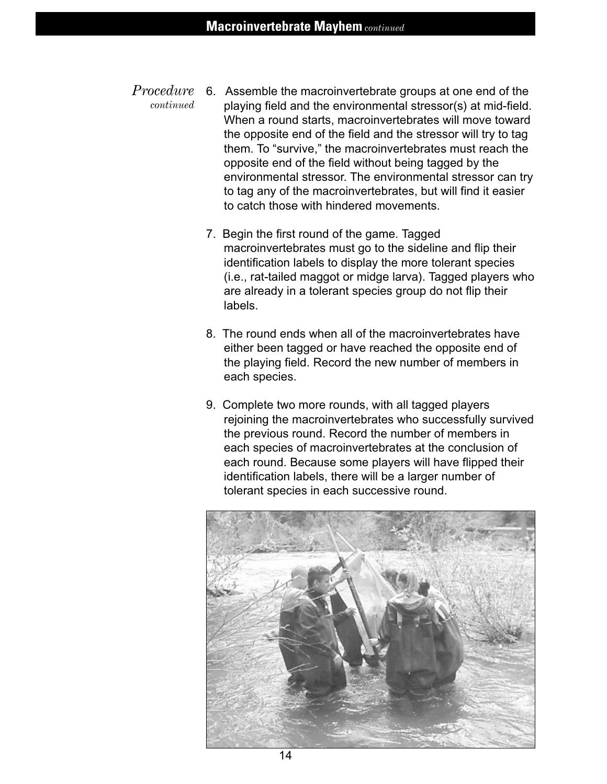- 6. Assemble the macroinvertebrate groups at one end of the playing field and the environmental stressor(s) at mid-field. When a round starts, macroinvertebrates will move toward the opposite end of the field and the stressor will try to tag them. To "survive," the macroinvertebrates must reach the opposite end of the field without being tagged by the environmental stressor. The environmental stressor can try to tag any of the macroinvertebrates, but will find it easier to catch those with hindered movements. *Procedure continued*
	- 7. Begin the first round of the game. Tagged macroinvertebrates must go to the sideline and flip their identification labels to display the more tolerant species (i.e., rat-tailed maggot or midge larva). Tagged players who are already in a tolerant species group do not flip their labels.
	- 8. The round ends when all of the macroinvertebrates have either been tagged or have reached the opposite end of the playing field. Record the new number of members in each species.
	- 9. Complete two more rounds, with all tagged players rejoining the macroinvertebrates who successfully survived the previous round. Record the number of members in each species of macroinvertebrates at the conclusion of each round. Because some players will have flipped their identification labels, there will be a larger number of tolerant species in each successive round.

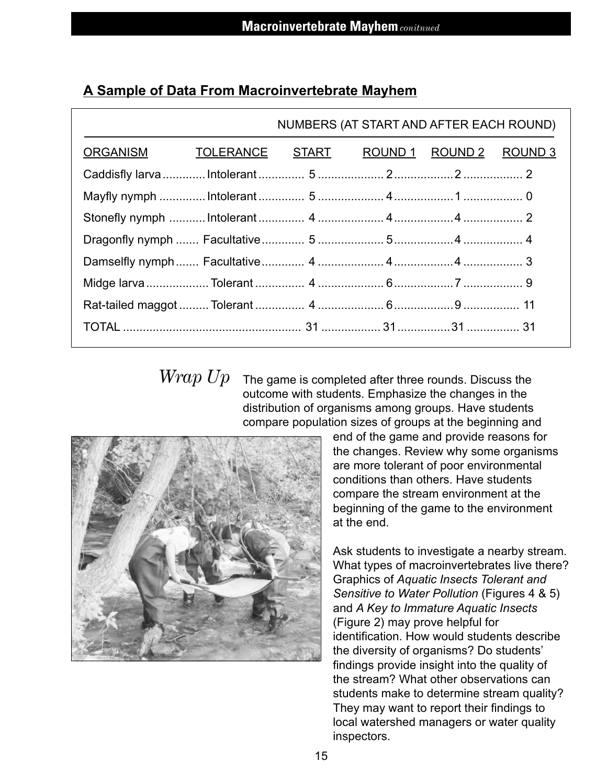|                                                  | NUMBERS (AT START AND AFTER EACH ROUND) |  |  |  |  |  |
|--------------------------------------------------|-----------------------------------------|--|--|--|--|--|
| ORGANISM TOLERANCE START ROUND 1 ROUND 2 ROUND 3 |                                         |  |  |  |  |  |
|                                                  |                                         |  |  |  |  |  |
|                                                  |                                         |  |  |  |  |  |
|                                                  |                                         |  |  |  |  |  |
|                                                  |                                         |  |  |  |  |  |
|                                                  |                                         |  |  |  |  |  |
|                                                  |                                         |  |  |  |  |  |
|                                                  |                                         |  |  |  |  |  |
|                                                  |                                         |  |  |  |  |  |
|                                                  |                                         |  |  |  |  |  |

#### **A Sample of Data From Macroinvertebrate Mayhem**

*Wrap Up*

The game is completed after three rounds. Discuss the outcome with students. Emphasize the changes in the distribution of organisms among groups. Have students compare population sizes of groups at the beginning and



end of the game and provide reasons for the changes. Review why some organisms are more tolerant of poor environmental conditions than others. Have students compare the stream environment at the beginning of the game to the environment at the end.

Ask students to investigate a nearby stream. What types of macroinvertebrates live there? Graphics of *Aquatic Insects Tolerant and Sensitive to Water Pollution* (Figures 4 & 5) and *A Key to Immature Aquatic Insects* (Figure 2) may prove helpful for identification. How would students describe the diversity of organisms? Do students' findings provide insight into the quality of the stream? What other observations can students make to determine stream quality? They may want to report their findings to local watershed managers or water quality inspectors.